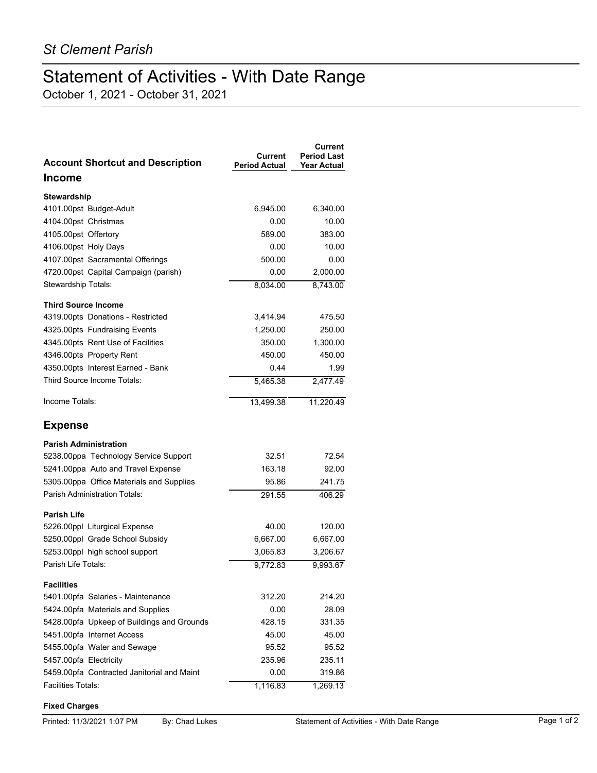## Statement of Activities - With Date Range

October 1, 2021 - October 31, 2021

| <b>Account Shortcut and Description</b>    | Current<br><b>Period Actual</b> | Current<br><b>Period Last</b><br><b>Year Actual</b> |
|--------------------------------------------|---------------------------------|-----------------------------------------------------|
| <b>Income</b>                              |                                 |                                                     |
| <b>Stewardship</b>                         |                                 |                                                     |
| 4101.00pst Budget-Adult                    | 6,945.00                        | 6,340.00                                            |
| 4104.00pst Christmas                       | 0.00                            | 10.00                                               |
| 4105.00pst Offertory                       | 589.00                          | 383.00                                              |
| 4106.00pst Holy Days                       | 0.00                            | 10.00                                               |
| 4107.00pst Sacramental Offerings           | 500.00                          | 0.00                                                |
| 4720.00pst Capital Campaign (parish)       | 0.00                            | 2,000.00                                            |
| Stewardship Totals:                        | 8,034.00                        | 8,743.00                                            |
| <b>Third Source Income</b>                 |                                 |                                                     |
| 4319.00pts Donations - Restricted          | 3,414.94                        | 475.50                                              |
| 4325.00pts Fundraising Events              | 1,250.00                        | 250.00                                              |
| 4345.00pts Rent Use of Facilities          | 350.00                          | 1,300.00                                            |
| 4346.00pts Property Rent                   | 450.00                          | 450.00                                              |
| 4350.00pts Interest Earned - Bank          | 0.44                            | 1.99                                                |
| Third Source Income Totals:                | 5,465.38                        | 2,477.49                                            |
| Income Totals:                             | 13,499.38                       | 11.220.49                                           |
| <b>Expense</b>                             |                                 |                                                     |
| <b>Parish Administration</b>               |                                 |                                                     |
| 5238.00ppa Technology Service Support      | 32.51                           | 72.54                                               |
| 5241.00ppa Auto and Travel Expense         | 163.18                          | 92.00                                               |
| 5305.00ppa Office Materials and Supplies   | 95.86                           | 241.75                                              |
| Parish Administration Totals:              | 291.55                          | 406.29                                              |
| <b>Parish Life</b>                         |                                 |                                                     |
| 5226.00ppl Liturgical Expense              | 40.00                           | 120.00                                              |
| 5250.00ppl Grade School Subsidy            | 6,667.00                        | 6,667.00                                            |
| 5253.00ppl high school support             | 3,065.83                        | 3,206.67                                            |
| Parish Life Totals:                        | 9,772.83                        | 9,993.67                                            |
| Facilities                                 |                                 |                                                     |
| 5401.00pfa Salaries - Maintenance          | 312.20                          | 214.20                                              |
| 5424.00pfa Materials and Supplies          | 0.00                            | 28.09                                               |
| 5428.00pfa Upkeep of Buildings and Grounds | 428.15                          | 331.35                                              |
| 5451.00pfa Internet Access                 | 45.00                           | 45.00                                               |
| 5455.00pfa Water and Sewage                | 95.52                           | 95.52                                               |
| 5457.00pfa Electricity                     | 235.96                          | 235.11                                              |
| 5459.00pfa Contracted Janitorial and Maint | 0.00                            | 319.86                                              |
| Facilities Totals:                         | 1,116.83                        | 1,269.13                                            |

## **Fixed Charges**